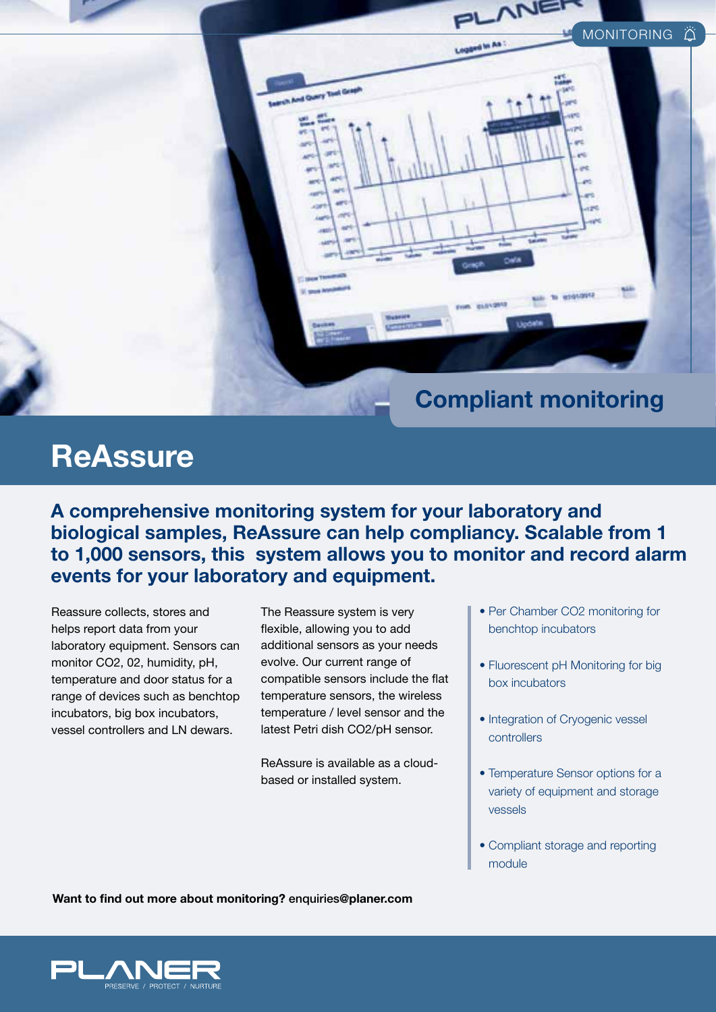

## **ReAssure**

**A comprehensive monitoring system for your laboratory and biological samples, ReAssure can help compliancy. Scalable from 1 to 1,000 sensors, this system allows you to monitor and record alarm events for your laboratory and equipment.**

Reassure collects, stores and helps report data from your laboratory equipment. Sensors can monitor CO2, 02, humidity, pH, temperature and door status for a range of devices such as benchtop incubators, big box incubators, vessel controllers and LN dewars.

The Reassure system is very flexible, allowing you to add additional sensors as your needs evolve. Our current range of compatible sensors include the flat temperature sensors, the wireless temperature / level sensor and the latest Petri dish CO2/pH sensor.

ReAssure is available as a cloudbased or installed system.

- Per Chamber CO2 monitoring for benchtop incubators
- Fluorescent pH Monitoring for big box incubators
- Integration of Cryogenic vessel controllers
- Temperature Sensor options for a variety of equipment and storage vessels
- Compliant storage and reporting module

**Want to find out more about monitoring?** enquiries**@planer.com**